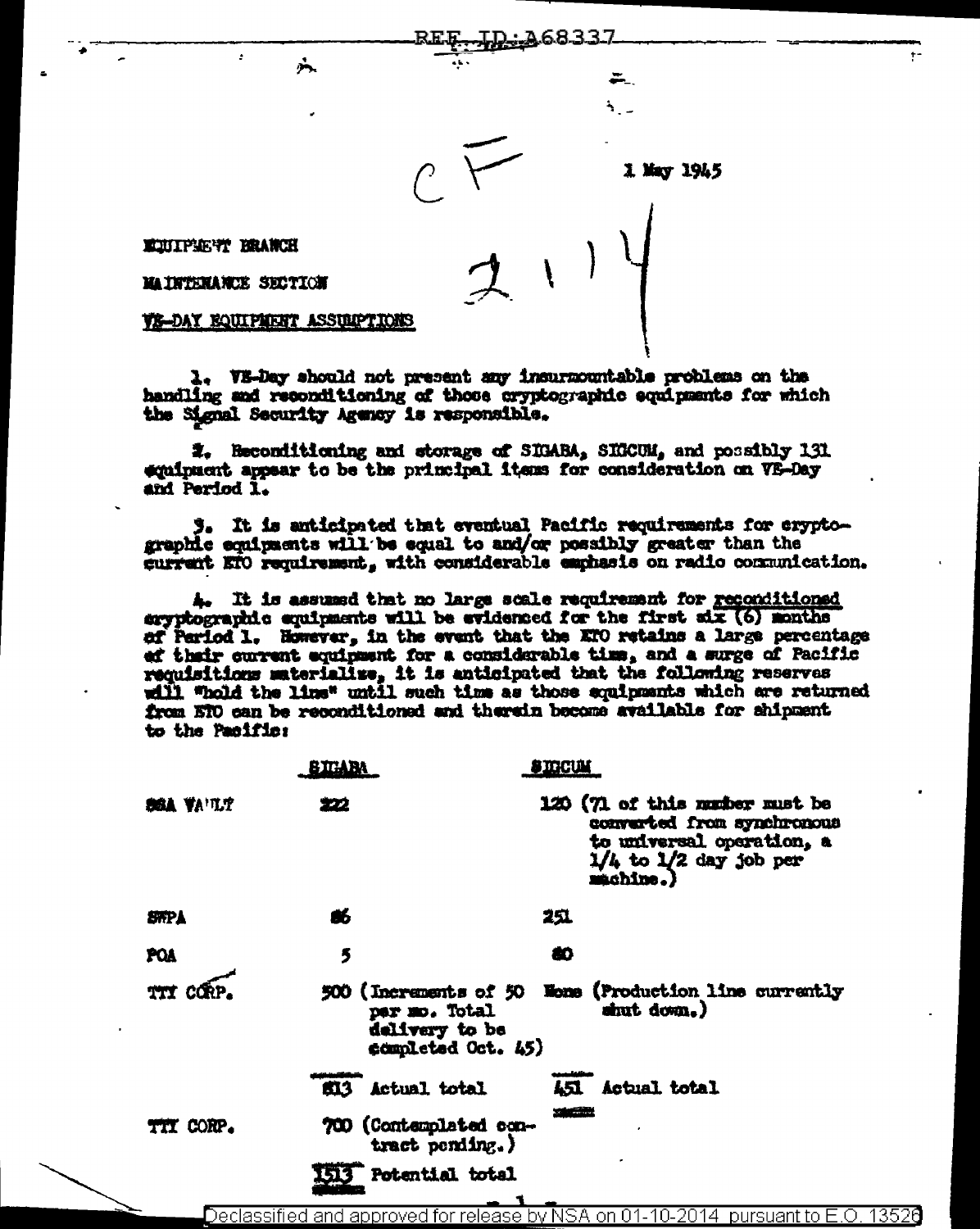

1 May 1945

**ECUTPSE TO BRANCH** 

MAINTENANCE SECTION

VE-DAY FOUIPMENT ASSUMPTIONS

六

1. VS-Day should not present any insurmountable problems on the handling and reconditioning of those oryptographic equipments for which the Signal Security Agency is responsible.

2. Heconditioning and storage of SIGABA, SIGCUM, and possibly 131 equipment appear to be the principal items for consideration on VE-Day and Period 1.

3. It is anticipated that eventual Pacific requirements for cryptographic equipments will be equal to and/or possibly greater than the current ETO requirement, with considerable emphasis on radio communication.

4. It is assumed that no large scale requirement for reconditioned eryphographic equipments will be evidenced for the first six (6) months of Parlod 1. However, in the event that the ETO retains a large percentage ef their current equipment for a considerable time, and a surge of Pacific requisitions materialize, it is anticipated that the following reserves will "hold the line" until such time as those equipments which are returned from NTO can be reconditioned and therein become available for shipment to the Pacific:

|                   | <b>SIGABA</b>                                         | <b>STOCUM</b>                                                                                                                        |  |
|-------------------|-------------------------------------------------------|--------------------------------------------------------------------------------------------------------------------------------------|--|
| <b>BEA VA'TLT</b> | 222                                                   | 120 (71 of this number must be<br>converted from synchronous<br>to universal operation, a<br>$1/4$ to $1/2$ day job per<br>machine.) |  |
| <b>SHPA</b>       | â6                                                    | 251                                                                                                                                  |  |
| POA               | 5                                                     | æ                                                                                                                                    |  |
| <b>TTI CORP</b>   | per mo. Total<br>delivery to be<br>completed Oct. 45) | 500 (Increments of 50 Wome (Production line currently<br>shut down.)                                                                 |  |
|                   | <b>SI3</b> Actual total                               | 451 Actual total                                                                                                                     |  |
| TIT CORP.         | 700 (Contemplated con-<br>tract pending.)             | <b><i><u>SECTION</u></i></b>                                                                                                         |  |
|                   | Potential total                                       |                                                                                                                                      |  |

Declassified and approved for release by NSA on 01-10-2014 pursuant to E.O. 13526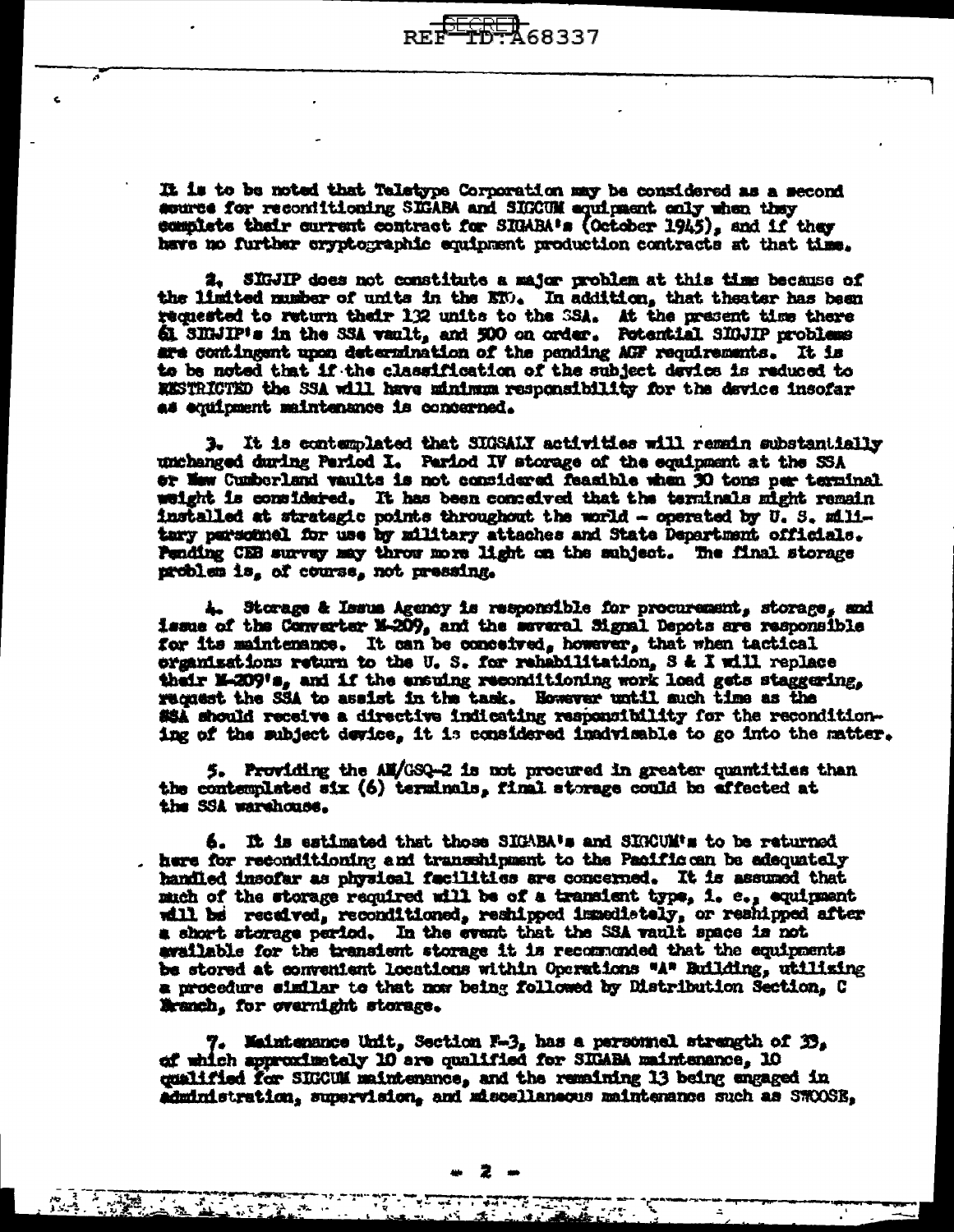It is to be noted that Teletype Corporation may be considered as a second source for recontitioning SEGABA and SEGCUM equipment only when they complete their current contract for SIGARA's (October 1945), and if they have no further cryptographic equipment production contracts at that time.

2. SIGJIP does not constitute a major problem at this time because of the limited musher of units in the ETO. In addition, that theater has been requested to return their 132 units to the SSA. At the present time there 61 SIGJIP's in the SSA vault, and 500 on order. Potential SIGJIP problems are continuent upon determination of the pending AGF requirements. It is to be noted that if the classification of the subject device is reduced to EESTRICTED the SSA will have minimum responsibility for the device insofar as equipment maintenance is concerned.

3. It is contemplated that SUSSALY activities will remain substantially unchanged during Pariod I. Pariod IV storage of the equipment at the SSA or New Cumberland vaults is not considered feasible when 30 tons per terminal weight is considered. It has been conteived that the terninals might remain installed at strategic points throughout the world - operated by U.S. military parsomnel for use by military attaches and State Department officials. Pending CEB survey may throw more light on the subject. The final storage problem is, of course, not pressing.

4. Storage & Issue Agency is responsible for procurement, storage, and issue of the Converter M-209, and the several Signal Depots are responsible for its maintenance. It can be conceived, however, that when tactical organisations return to the U.S. for rehabilitation, S & I will replace their M-209's, and if the ensuing reconditioning work load gets staggering. request the SSA to assist in the task. However until such time as the #\$A should receive a directive indicating responsibility for the reconditioning of the subject device, it is considered inadvisable to go into the matter.

5. Providing the AM/GSQ-2 is not procured in greater quantities than the contemplated six (6) terminals, final storage could be affected at the SSA warehouse.

6. It is estimated that those SIGABA's and SIGCUM's to be returned here for reconditioning and transshipment to the Pacific can be adequately handled insofar as physical facilities are concerned. It is assumed that much of the storage required will be of a transient type, i. e., equipment will be received, reconditioned, reshipped immediately, or reshipped after a short storage period. In the event that the SSA vault space is not evailable for the transient storage it is recommonded that the equipments be stored at convenient locations within Operations "A" Building, utilizing a procedure similar to that now being followed by Distribution Section, C Nranch, for overnight storage.

7. Maintenance Unit, Section F-3, has a personnel strength of 33, of which approximately 10 are qualified for SEGABA maintenance, 10 qualified for SIGCUM maintenance, and the remaining 13 being engaged in administration, supervision, and miscellaneous maintenance such as SWOOSE,